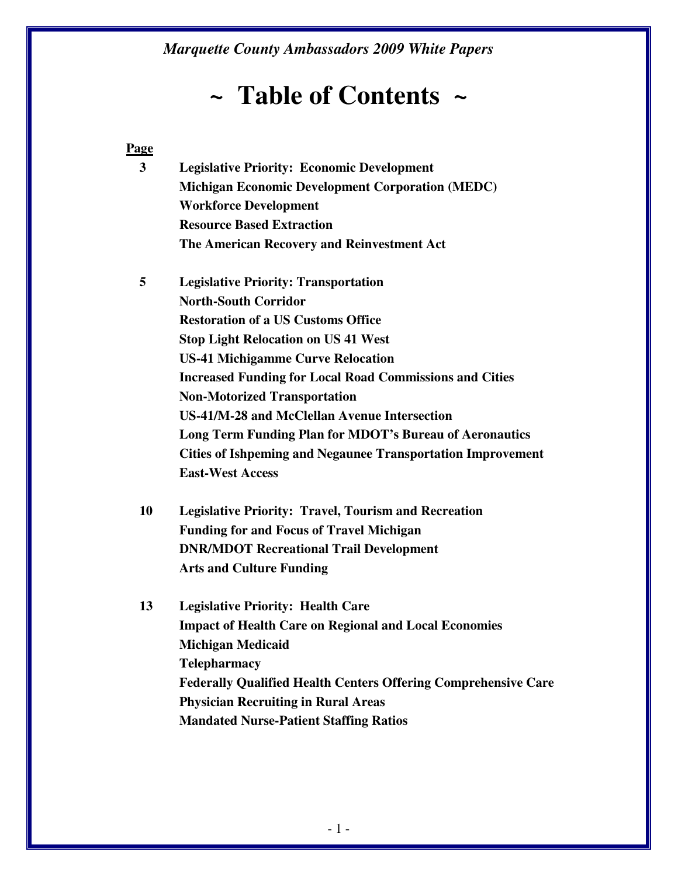# *~* **Table of Contents** *~*

#### **Page**

**3 Legislative Priority: Economic Development Michigan Economic Development Corporation (MEDC) Workforce Development Resource Based Extraction The American Recovery and Reinvestment Act** 

**5 Legislative Priority: Transportation North-South Corridor Restoration of a US Customs Office Stop Light Relocation on US 41 West US-41 Michigamme Curve Relocation Increased Funding for Local Road Commissions and Cities Non-Motorized Transportation US-41/M-28 and McClellan Avenue Intersection Long Term Funding Plan for MDOT's Bureau of Aeronautics Cities of Ishpeming and Negaunee Transportation Improvement East-West Access** 

- **10 Legislative Priority: Travel, Tourism and Recreation Funding for and Focus of Travel Michigan DNR/MDOT Recreational Trail Development Arts and Culture Funding**
- **13 Legislative Priority: Health Care Impact of Health Care on Regional and Local Economies Michigan Medicaid Telepharmacy Federally Qualified Health Centers Offering Comprehensive Care Physician Recruiting in Rural Areas Mandated Nurse-Patient Staffing Ratios**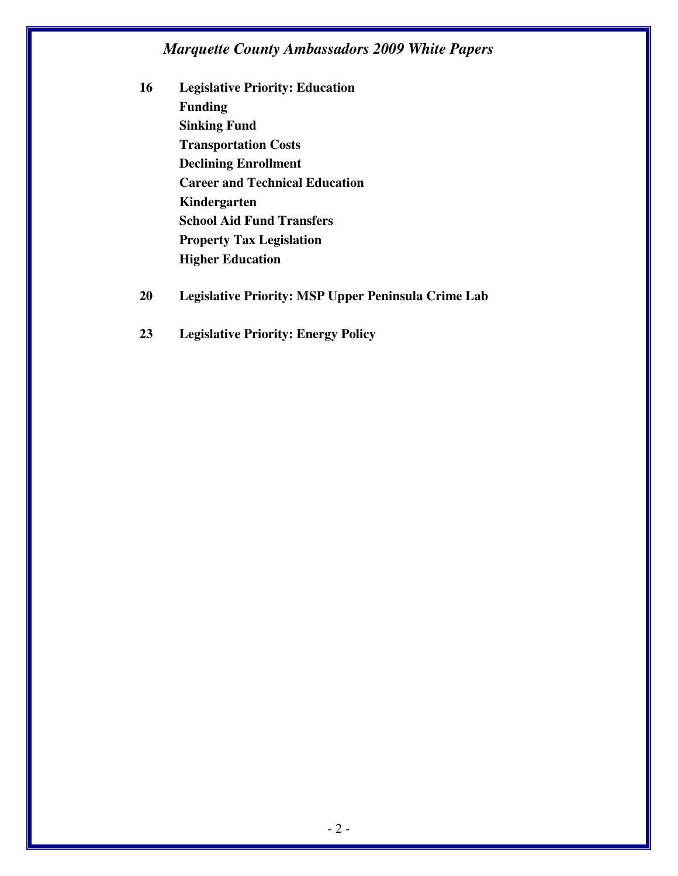- **16 Legislative Priority: Education Funding Sinking Fund Transportation Costs Declining Enrollment Career and Technical Education Kindergarten School Aid Fund Transfers Property Tax Legislation Higher Education**
- **20 Legislative Priority: MSP Upper Peninsula Crime Lab**
- **23 Legislative Priority: Energy Policy**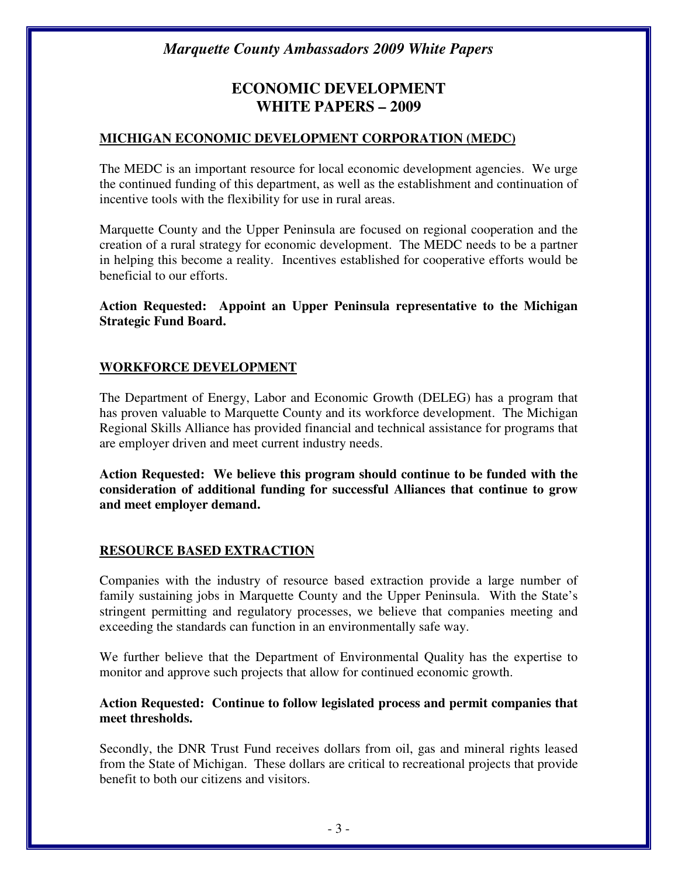## **ECONOMIC DEVELOPMENT WHITE PAPERS – 2009**

#### **MICHIGAN ECONOMIC DEVELOPMENT CORPORATION (MEDC)**

The MEDC is an important resource for local economic development agencies. We urge the continued funding of this department, as well as the establishment and continuation of incentive tools with the flexibility for use in rural areas.

Marquette County and the Upper Peninsula are focused on regional cooperation and the creation of a rural strategy for economic development. The MEDC needs to be a partner in helping this become a reality. Incentives established for cooperative efforts would be beneficial to our efforts.

**Action Requested: Appoint an Upper Peninsula representative to the Michigan Strategic Fund Board.** 

#### **WORKFORCE DEVELOPMENT**

The Department of Energy, Labor and Economic Growth (DELEG) has a program that has proven valuable to Marquette County and its workforce development. The Michigan Regional Skills Alliance has provided financial and technical assistance for programs that are employer driven and meet current industry needs.

**Action Requested: We believe this program should continue to be funded with the consideration of additional funding for successful Alliances that continue to grow and meet employer demand.** 

#### **RESOURCE BASED EXTRACTION**

Companies with the industry of resource based extraction provide a large number of family sustaining jobs in Marquette County and the Upper Peninsula. With the State's stringent permitting and regulatory processes, we believe that companies meeting and exceeding the standards can function in an environmentally safe way.

We further believe that the Department of Environmental Quality has the expertise to monitor and approve such projects that allow for continued economic growth.

#### **Action Requested: Continue to follow legislated process and permit companies that meet thresholds.**

Secondly, the DNR Trust Fund receives dollars from oil, gas and mineral rights leased from the State of Michigan. These dollars are critical to recreational projects that provide benefit to both our citizens and visitors.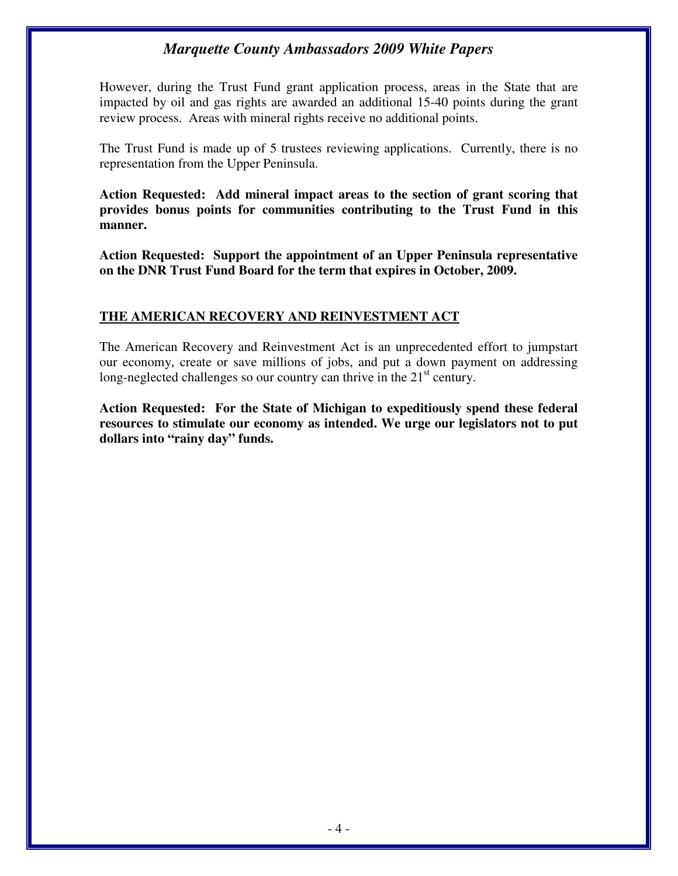However, during the Trust Fund grant application process, areas in the State that are impacted by oil and gas rights are awarded an additional 15-40 points during the grant review process. Areas with mineral rights receive no additional points.

The Trust Fund is made up of 5 trustees reviewing applications. Currently, there is no representation from the Upper Peninsula.

**Action Requested: Add mineral impact areas to the section of grant scoring that provides bonus points for communities contributing to the Trust Fund in this manner.** 

**Action Requested: Support the appointment of an Upper Peninsula representative on the DNR Trust Fund Board for the term that expires in October, 2009.** 

#### **THE AMERICAN RECOVERY AND REINVESTMENT ACT**

The American Recovery and Reinvestment Act is an unprecedented effort to jumpstart our economy, create or save millions of jobs, and put a down payment on addressing long-neglected challenges so our country can thrive in the  $21<sup>st</sup>$  century.

**Action Requested: For the State of Michigan to expeditiously spend these federal resources to stimulate our economy as intended. We urge our legislators not to put dollars into "rainy day" funds.**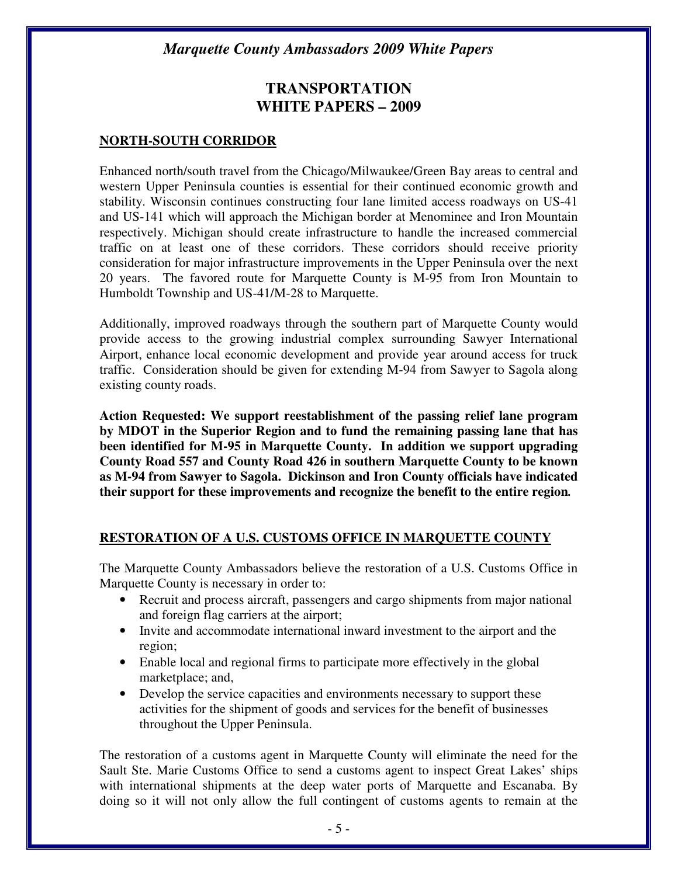## **TRANSPORTATION WHITE PAPERS – 2009**

#### **NORTH-SOUTH CORRIDOR**

Enhanced north/south travel from the Chicago/Milwaukee/Green Bay areas to central and western Upper Peninsula counties is essential for their continued economic growth and stability. Wisconsin continues constructing four lane limited access roadways on US-41 and US-141 which will approach the Michigan border at Menominee and Iron Mountain respectively. Michigan should create infrastructure to handle the increased commercial traffic on at least one of these corridors. These corridors should receive priority consideration for major infrastructure improvements in the Upper Peninsula over the next 20 years. The favored route for Marquette County is M-95 from Iron Mountain to Humboldt Township and US-41/M-28 to Marquette.

Additionally, improved roadways through the southern part of Marquette County would provide access to the growing industrial complex surrounding Sawyer International Airport, enhance local economic development and provide year around access for truck traffic. Consideration should be given for extending M-94 from Sawyer to Sagola along existing county roads.

**Action Requested: We support reestablishment of the passing relief lane program by MDOT in the Superior Region and to fund the remaining passing lane that has been identified for M-95 in Marquette County. In addition we support upgrading County Road 557 and County Road 426 in southern Marquette County to be known as M-94 from Sawyer to Sagola. Dickinson and Iron County officials have indicated their support for these improvements and recognize the benefit to the entire region***.* 

#### **RESTORATION OF A U.S. CUSTOMS OFFICE IN MARQUETTE COUNTY**

The Marquette County Ambassadors believe the restoration of a U.S. Customs Office in Marquette County is necessary in order to:

- Recruit and process aircraft, passengers and cargo shipments from major national and foreign flag carriers at the airport;
- Invite and accommodate international inward investment to the airport and the region;
- Enable local and regional firms to participate more effectively in the global marketplace; and,
- Develop the service capacities and environments necessary to support these activities for the shipment of goods and services for the benefit of businesses throughout the Upper Peninsula.

The restoration of a customs agent in Marquette County will eliminate the need for the Sault Ste. Marie Customs Office to send a customs agent to inspect Great Lakes' ships with international shipments at the deep water ports of Marquette and Escanaba. By doing so it will not only allow the full contingent of customs agents to remain at the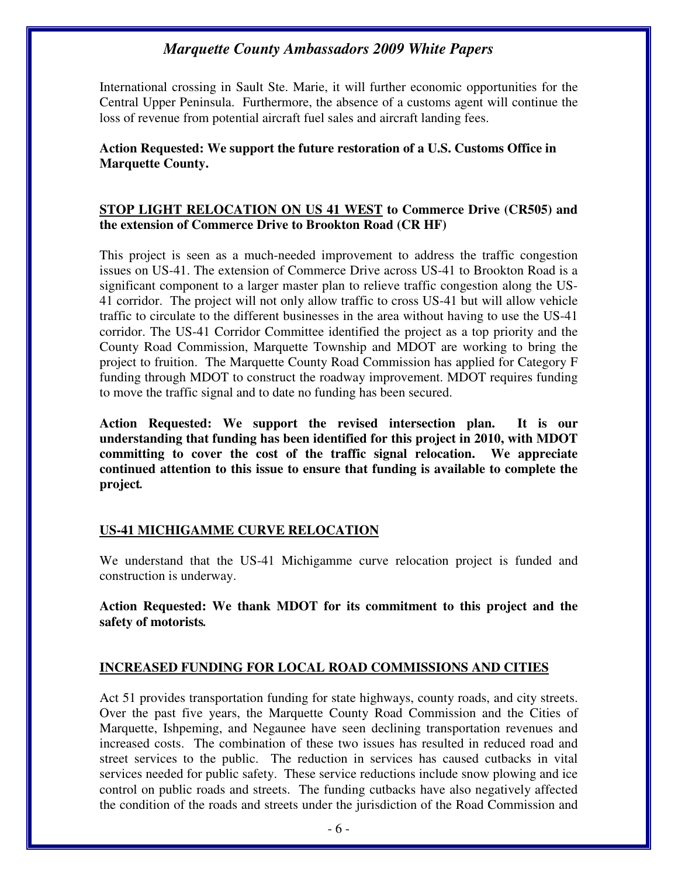International crossing in Sault Ste. Marie, it will further economic opportunities for the Central Upper Peninsula. Furthermore, the absence of a customs agent will continue the loss of revenue from potential aircraft fuel sales and aircraft landing fees.

#### **Action Requested: We support the future restoration of a U.S. Customs Office in Marquette County.**

#### **STOP LIGHT RELOCATION ON US 41 WEST to Commerce Drive (CR505) and the extension of Commerce Drive to Brookton Road (CR HF)**

This project is seen as a much-needed improvement to address the traffic congestion issues on US-41. The extension of Commerce Drive across US-41 to Brookton Road is a significant component to a larger master plan to relieve traffic congestion along the US-41 corridor. The project will not only allow traffic to cross US-41 but will allow vehicle traffic to circulate to the different businesses in the area without having to use the US-41 corridor. The US-41 Corridor Committee identified the project as a top priority and the County Road Commission, Marquette Township and MDOT are working to bring the project to fruition. The Marquette County Road Commission has applied for Category F funding through MDOT to construct the roadway improvement. MDOT requires funding to move the traffic signal and to date no funding has been secured.

**Action Requested: We support the revised intersection plan. It is our understanding that funding has been identified for this project in 2010, with MDOT committing to cover the cost of the traffic signal relocation. We appreciate continued attention to this issue to ensure that funding is available to complete the project***.* 

#### **US-41 MICHIGAMME CURVE RELOCATION**

We understand that the US-41 Michigamme curve relocation project is funded and construction is underway.

**Action Requested: We thank MDOT for its commitment to this project and the safety of motorists***.* 

#### **INCREASED FUNDING FOR LOCAL ROAD COMMISSIONS AND CITIES**

Act 51 provides transportation funding for state highways, county roads, and city streets. Over the past five years, the Marquette County Road Commission and the Cities of Marquette, Ishpeming, and Negaunee have seen declining transportation revenues and increased costs. The combination of these two issues has resulted in reduced road and street services to the public. The reduction in services has caused cutbacks in vital services needed for public safety. These service reductions include snow plowing and ice control on public roads and streets. The funding cutbacks have also negatively affected the condition of the roads and streets under the jurisdiction of the Road Commission and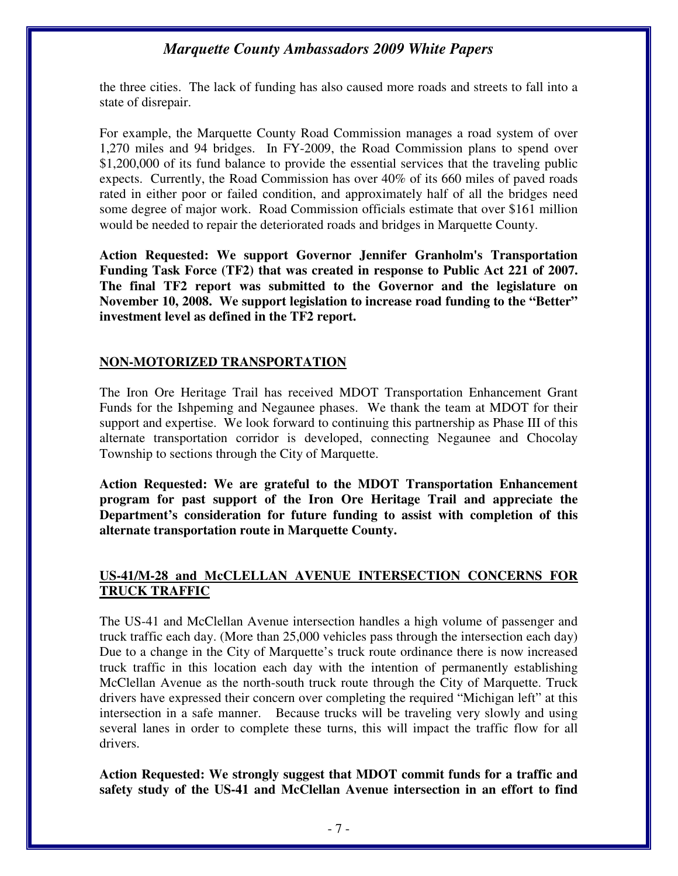the three cities. The lack of funding has also caused more roads and streets to fall into a state of disrepair.

For example, the Marquette County Road Commission manages a road system of over 1,270 miles and 94 bridges. In FY-2009, the Road Commission plans to spend over \$1,200,000 of its fund balance to provide the essential services that the traveling public expects. Currently, the Road Commission has over 40% of its 660 miles of paved roads rated in either poor or failed condition, and approximately half of all the bridges need some degree of major work. Road Commission officials estimate that over \$161 million would be needed to repair the deteriorated roads and bridges in Marquette County.

**Action Requested: We support Governor Jennifer Granholm's Transportation Funding Task Force (TF2) that was created in response to Public Act 221 of 2007. The final TF2 report was submitted to the Governor and the legislature on November 10, 2008. We support legislation to increase road funding to the "Better" investment level as defined in the TF2 report.** 

#### **NON-MOTORIZED TRANSPORTATION**

The Iron Ore Heritage Trail has received MDOT Transportation Enhancement Grant Funds for the Ishpeming and Negaunee phases. We thank the team at MDOT for their support and expertise. We look forward to continuing this partnership as Phase III of this alternate transportation corridor is developed, connecting Negaunee and Chocolay Township to sections through the City of Marquette.

**Action Requested: We are grateful to the MDOT Transportation Enhancement program for past support of the Iron Ore Heritage Trail and appreciate the Department's consideration for future funding to assist with completion of this alternate transportation route in Marquette County.**

#### **US-41/M-28 and McCLELLAN AVENUE INTERSECTION CONCERNS FOR TRUCK TRAFFIC**

The US-41 and McClellan Avenue intersection handles a high volume of passenger and truck traffic each day. (More than 25,000 vehicles pass through the intersection each day) Due to a change in the City of Marquette's truck route ordinance there is now increased truck traffic in this location each day with the intention of permanently establishing McClellan Avenue as the north-south truck route through the City of Marquette. Truck drivers have expressed their concern over completing the required "Michigan left" at this intersection in a safe manner. Because trucks will be traveling very slowly and using several lanes in order to complete these turns, this will impact the traffic flow for all drivers.

**Action Requested: We strongly suggest that MDOT commit funds for a traffic and safety study of the US-41 and McClellan Avenue intersection in an effort to find**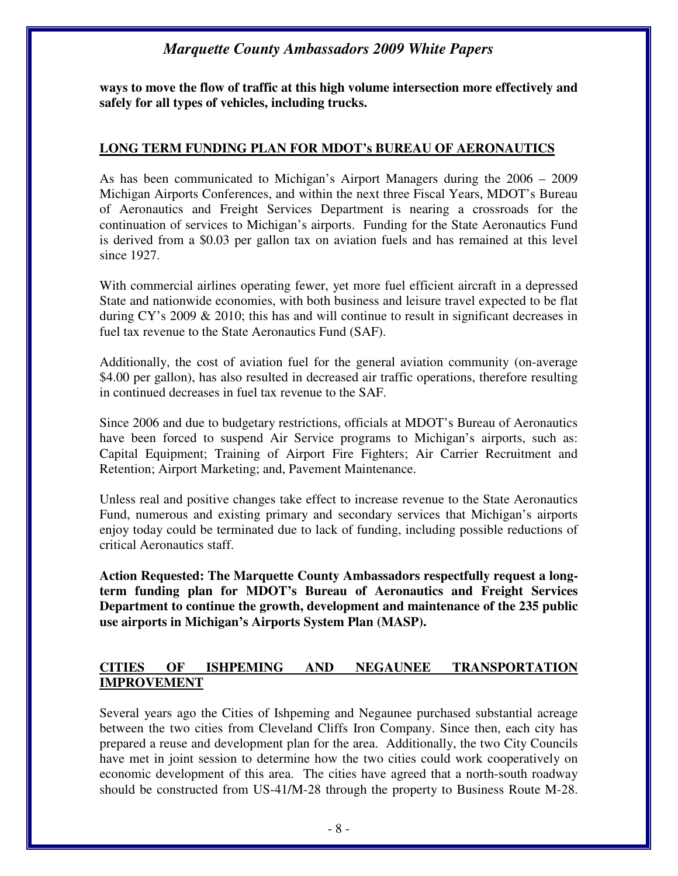**ways to move the flow of traffic at this high volume intersection more effectively and safely for all types of vehicles, including trucks.**

#### **LONG TERM FUNDING PLAN FOR MDOT's BUREAU OF AERONAUTICS**

As has been communicated to Michigan's Airport Managers during the 2006 – 2009 Michigan Airports Conferences, and within the next three Fiscal Years, MDOT's Bureau of Aeronautics and Freight Services Department is nearing a crossroads for the continuation of services to Michigan's airports. Funding for the State Aeronautics Fund is derived from a \$0.03 per gallon tax on aviation fuels and has remained at this level since 1927.

With commercial airlines operating fewer, yet more fuel efficient aircraft in a depressed State and nationwide economies, with both business and leisure travel expected to be flat during CY's 2009 & 2010; this has and will continue to result in significant decreases in fuel tax revenue to the State Aeronautics Fund (SAF).

Additionally, the cost of aviation fuel for the general aviation community (on-average \$4.00 per gallon), has also resulted in decreased air traffic operations, therefore resulting in continued decreases in fuel tax revenue to the SAF.

Since 2006 and due to budgetary restrictions, officials at MDOT's Bureau of Aeronautics have been forced to suspend Air Service programs to Michigan's airports, such as: Capital Equipment; Training of Airport Fire Fighters; Air Carrier Recruitment and Retention; Airport Marketing; and, Pavement Maintenance.

Unless real and positive changes take effect to increase revenue to the State Aeronautics Fund, numerous and existing primary and secondary services that Michigan's airports enjoy today could be terminated due to lack of funding, including possible reductions of critical Aeronautics staff.

**Action Requested: The Marquette County Ambassadors respectfully request a longterm funding plan for MDOT's Bureau of Aeronautics and Freight Services Department to continue the growth, development and maintenance of the 235 public use airports in Michigan's Airports System Plan (MASP).** 

#### **CITIES OF ISHPEMING AND NEGAUNEE TRANSPORTATION IMPROVEMENT**

Several years ago the Cities of Ishpeming and Negaunee purchased substantial acreage between the two cities from Cleveland Cliffs Iron Company. Since then, each city has prepared a reuse and development plan for the area. Additionally, the two City Councils have met in joint session to determine how the two cities could work cooperatively on economic development of this area. The cities have agreed that a north-south roadway should be constructed from US-41/M-28 through the property to Business Route M-28.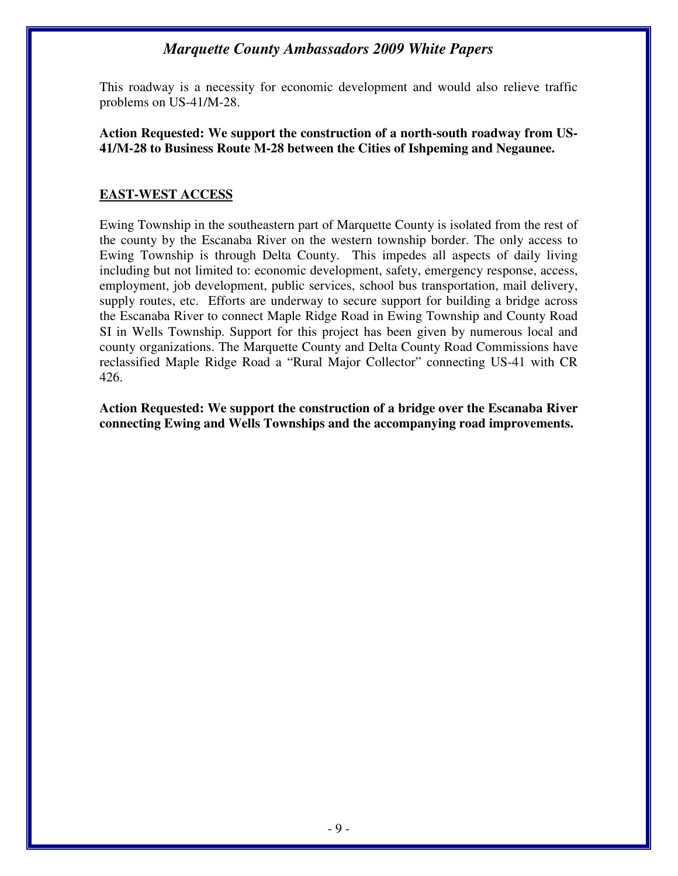This roadway is a necessity for economic development and would also relieve traffic problems on US-41/M-28.

**Action Requested: We support the construction of a north-south roadway from US-41/M-28 to Business Route M-28 between the Cities of Ishpeming and Negaunee.** 

#### **EAST-WEST ACCESS**

Ewing Township in the southeastern part of Marquette County is isolated from the rest of the county by the Escanaba River on the western township border. The only access to Ewing Township is through Delta County. This impedes all aspects of daily living including but not limited to: economic development, safety, emergency response, access, employment, job development, public services, school bus transportation, mail delivery, supply routes, etc. Efforts are underway to secure support for building a bridge across the Escanaba River to connect Maple Ridge Road in Ewing Township and County Road SI in Wells Township. Support for this project has been given by numerous local and county organizations. The Marquette County and Delta County Road Commissions have reclassified Maple Ridge Road a "Rural Major Collector" connecting US-41 with CR 426.

**Action Requested: We support the construction of a bridge over the Escanaba River connecting Ewing and Wells Townships and the accompanying road improvements.**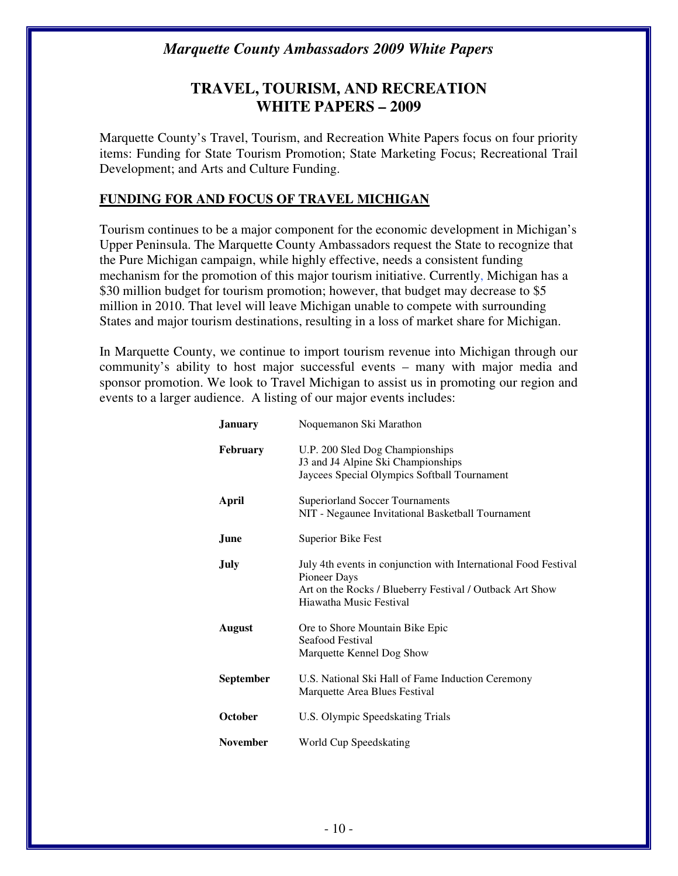## **TRAVEL, TOURISM, AND RECREATION WHITE PAPERS – 2009**

Marquette County's Travel, Tourism, and Recreation White Papers focus on four priority items: Funding for State Tourism Promotion; State Marketing Focus; Recreational Trail Development; and Arts and Culture Funding.

#### **FUNDING FOR AND FOCUS OF TRAVEL MICHIGAN**

Tourism continues to be a major component for the economic development in Michigan's Upper Peninsula. The Marquette County Ambassadors request the State to recognize that the Pure Michigan campaign, while highly effective, needs a consistent funding mechanism for the promotion of this major tourism initiative. Currently, Michigan has a \$30 million budget for tourism promotion; however, that budget may decrease to \$5 million in 2010. That level will leave Michigan unable to compete with surrounding States and major tourism destinations, resulting in a loss of market share for Michigan.

In Marquette County, we continue to import tourism revenue into Michigan through our community's ability to host major successful events – many with major media and sponsor promotion. We look to Travel Michigan to assist us in promoting our region and events to a larger audience. A listing of our major events includes:

| <b>January</b>  | Noquemanon Ski Marathon                                                                                                                                                |
|-----------------|------------------------------------------------------------------------------------------------------------------------------------------------------------------------|
| <b>February</b> | U.P. 200 Sled Dog Championships<br>J3 and J4 Alpine Ski Championships<br>Jaycees Special Olympics Softball Tournament                                                  |
| April           | <b>Superiorland Soccer Tournaments</b><br>NIT - Negaunee Invitational Basketball Tournament                                                                            |
| June            | <b>Superior Bike Fest</b>                                                                                                                                              |
| July            | July 4th events in conjunction with International Food Festival<br>Pioneer Days<br>Art on the Rocks / Blueberry Festival / Outback Art Show<br>Hiawatha Music Festival |
| <b>August</b>   | Ore to Shore Mountain Bike Epic<br>Seafood Festival<br>Marquette Kennel Dog Show                                                                                       |
| September       | U.S. National Ski Hall of Fame Induction Ceremony<br>Marquette Area Blues Festival                                                                                     |
| October         | U.S. Olympic Speedskating Trials                                                                                                                                       |
| <b>November</b> | World Cup Speedskating                                                                                                                                                 |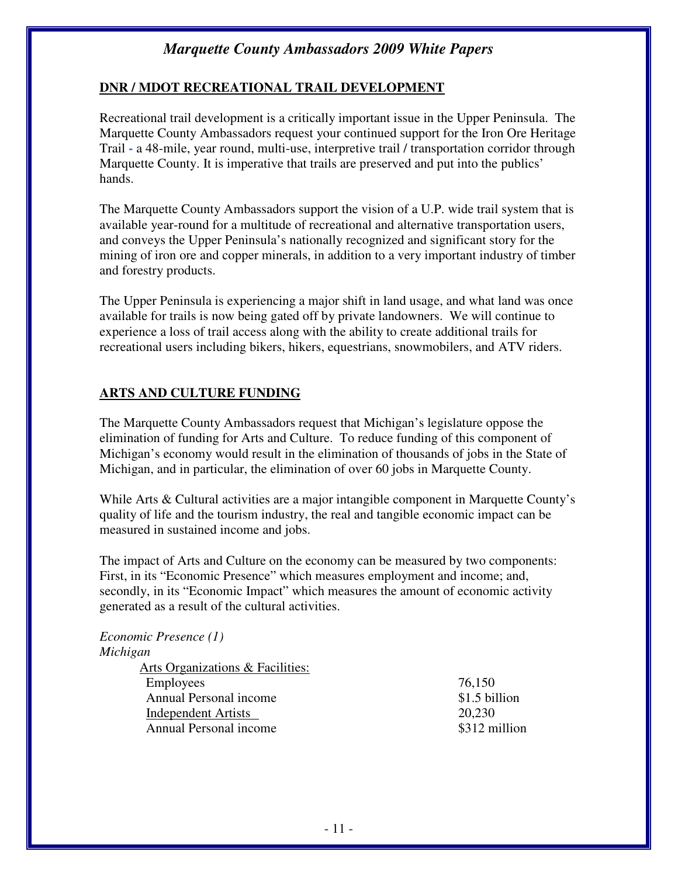#### **DNR / MDOT RECREATIONAL TRAIL DEVELOPMENT**

Recreational trail development is a critically important issue in the Upper Peninsula. The Marquette County Ambassadors request your continued support for the Iron Ore Heritage Trail **-** a 48-mile, year round, multi-use, interpretive trail / transportation corridor through Marquette County. It is imperative that trails are preserved and put into the publics' hands.

The Marquette County Ambassadors support the vision of a U.P. wide trail system that is available year-round for a multitude of recreational and alternative transportation users, and conveys the Upper Peninsula's nationally recognized and significant story for the mining of iron ore and copper minerals, in addition to a very important industry of timber and forestry products.

The Upper Peninsula is experiencing a major shift in land usage, and what land was once available for trails is now being gated off by private landowners. We will continue to experience a loss of trail access along with the ability to create additional trails for recreational users including bikers, hikers, equestrians, snowmobilers, and ATV riders.

#### **ARTS AND CULTURE FUNDING**

The Marquette County Ambassadors request that Michigan's legislature oppose the elimination of funding for Arts and Culture. To reduce funding of this component of Michigan's economy would result in the elimination of thousands of jobs in the State of Michigan, and in particular, the elimination of over 60 jobs in Marquette County.

While Arts & Cultural activities are a major intangible component in Marquette County's quality of life and the tourism industry, the real and tangible economic impact can be measured in sustained income and jobs.

The impact of Arts and Culture on the economy can be measured by two components: First, in its "Economic Presence" which measures employment and income; and, secondly, in its "Economic Impact" which measures the amount of economic activity generated as a result of the cultural activities.

#### *Economic Presence (1) Michigan*

Arts Organizations & Facilities: Employees 76,150 Annual Personal income  $$1.5$  billion Independent Artists 20,230 Annual Personal income  $\sim$  \$312 million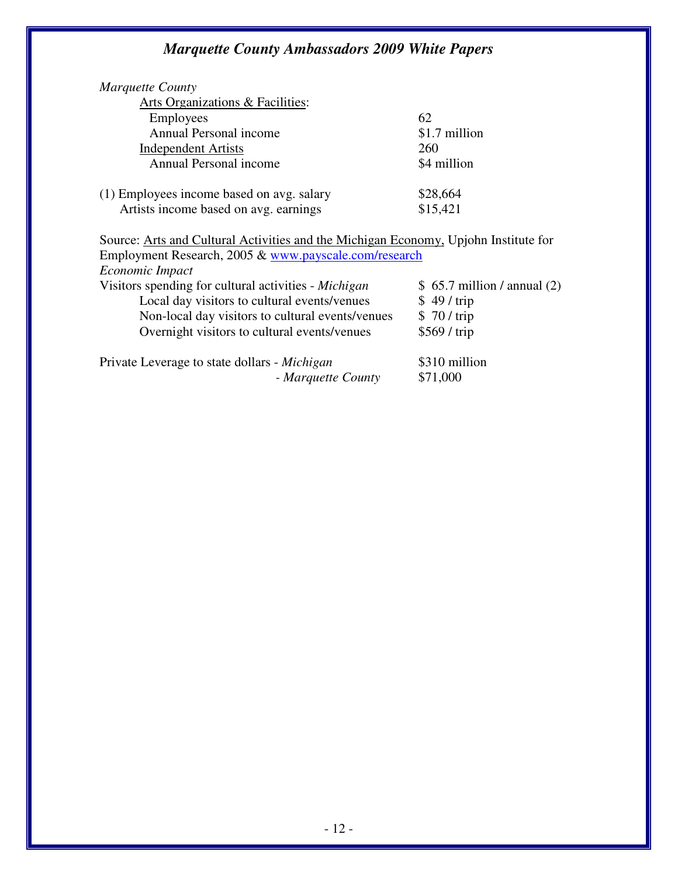| Marquette County                                                                    |               |
|-------------------------------------------------------------------------------------|---------------|
| Arts Organizations & Facilities:                                                    |               |
| <b>Employees</b>                                                                    | 62            |
| Annual Personal income                                                              | \$1.7 million |
| <b>Independent Artists</b>                                                          | 260           |
| Annual Personal income                                                              | \$4 million   |
| (1) Employees income based on avg. salary                                           | \$28,664      |
| Artists income based on avg. earnings                                               | \$15,421      |
| Source: Arts and Cultural Activities and the Michigan Economy, Upjohn Institute for |               |
| Employment Research, 2005 & www.payscale.com/research                               |               |
| Economic Impact                                                                     |               |

| Leonomic mipuei                                      |                              |
|------------------------------------------------------|------------------------------|
| Visitors spending for cultural activities - Michigan | $$65.7$ million / annual (2) |
| Local day visitors to cultural events/venues         | \$49/trip                    |
| Non-local day visitors to cultural events/venues     | \$70/trip                    |
| Overnight visitors to cultural events/venues         | \$569 / trip                 |
| Private Leverage to state dollars - Michigan         | \$310 million                |
| - Marquette County                                   | \$71,000                     |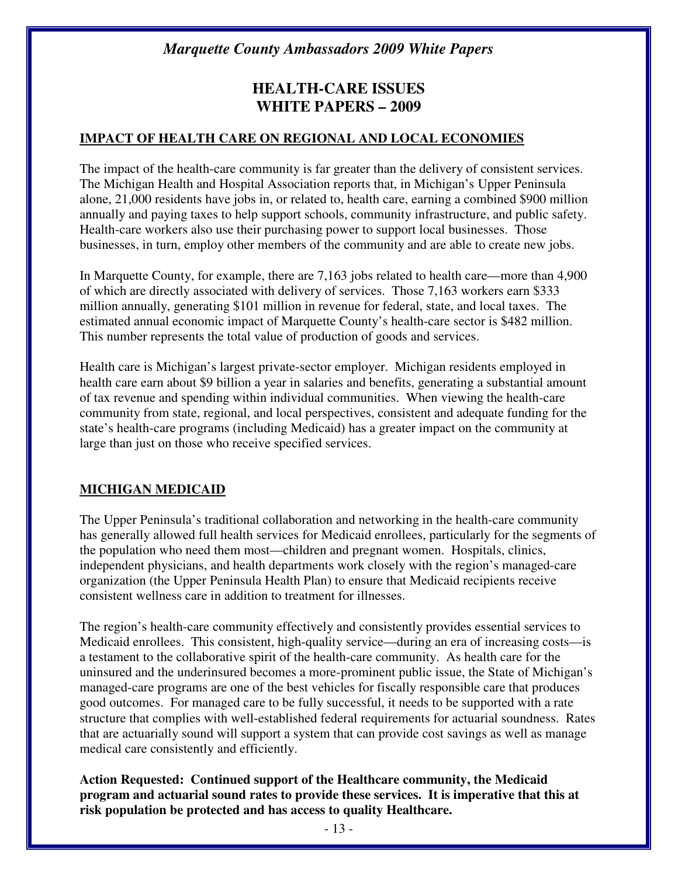## **HEALTH-CARE ISSUES WHITE PAPERS – 2009**

#### **IMPACT OF HEALTH CARE ON REGIONAL AND LOCAL ECONOMIES**

The impact of the health-care community is far greater than the delivery of consistent services. The Michigan Health and Hospital Association reports that, in Michigan's Upper Peninsula alone, 21,000 residents have jobs in, or related to, health care, earning a combined \$900 million annually and paying taxes to help support schools, community infrastructure, and public safety. Health-care workers also use their purchasing power to support local businesses. Those businesses, in turn, employ other members of the community and are able to create new jobs.

In Marquette County, for example, there are 7,163 jobs related to health care—more than 4,900 of which are directly associated with delivery of services. Those 7,163 workers earn \$333 million annually, generating \$101 million in revenue for federal, state, and local taxes. The estimated annual economic impact of Marquette County's health-care sector is \$482 million. This number represents the total value of production of goods and services.

Health care is Michigan's largest private-sector employer. Michigan residents employed in health care earn about \$9 billion a year in salaries and benefits, generating a substantial amount of tax revenue and spending within individual communities. When viewing the health-care community from state, regional, and local perspectives, consistent and adequate funding for the state's health-care programs (including Medicaid) has a greater impact on the community at large than just on those who receive specified services.

#### **MICHIGAN MEDICAID**

The Upper Peninsula's traditional collaboration and networking in the health-care community has generally allowed full health services for Medicaid enrollees, particularly for the segments of the population who need them most—children and pregnant women. Hospitals, clinics, independent physicians, and health departments work closely with the region's managed-care organization (the Upper Peninsula Health Plan) to ensure that Medicaid recipients receive consistent wellness care in addition to treatment for illnesses.

The region's health-care community effectively and consistently provides essential services to Medicaid enrollees. This consistent, high-quality service—during an era of increasing costs—is a testament to the collaborative spirit of the health-care community. As health care for the uninsured and the underinsured becomes a more-prominent public issue, the State of Michigan's managed-care programs are one of the best vehicles for fiscally responsible care that produces good outcomes. For managed care to be fully successful, it needs to be supported with a rate structure that complies with well-established federal requirements for actuarial soundness. Rates that are actuarially sound will support a system that can provide cost savings as well as manage medical care consistently and efficiently.

**Action Requested: Continued support of the Healthcare community, the Medicaid program and actuarial sound rates to provide these services. It is imperative that this at risk population be protected and has access to quality Healthcare.**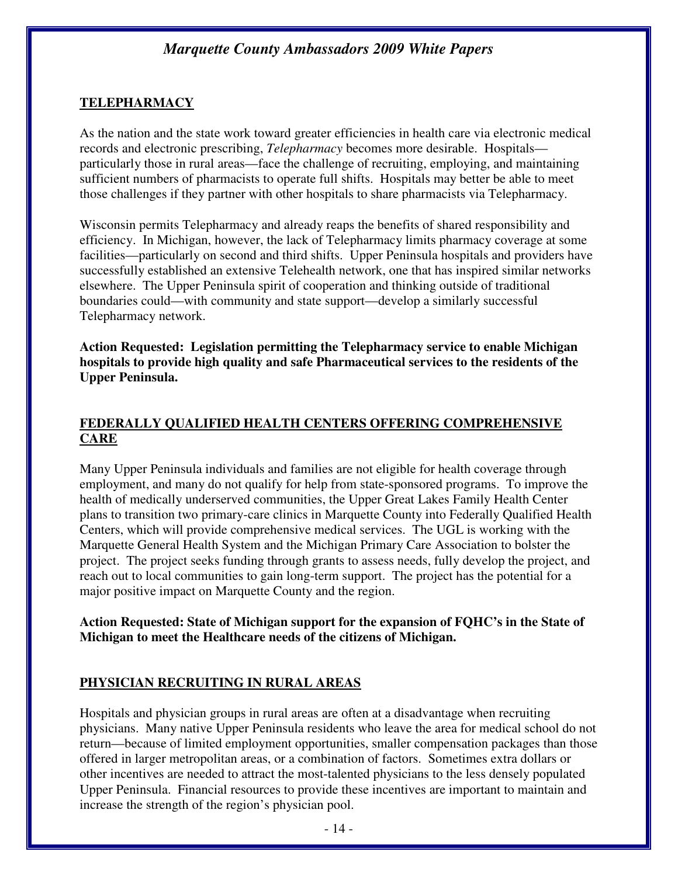#### **TELEPHARMACY**

As the nation and the state work toward greater efficiencies in health care via electronic medical records and electronic prescribing, *Telepharmacy* becomes more desirable. Hospitals particularly those in rural areas—face the challenge of recruiting, employing, and maintaining sufficient numbers of pharmacists to operate full shifts. Hospitals may better be able to meet those challenges if they partner with other hospitals to share pharmacists via Telepharmacy.

Wisconsin permits Telepharmacy and already reaps the benefits of shared responsibility and efficiency. In Michigan, however, the lack of Telepharmacy limits pharmacy coverage at some facilities—particularly on second and third shifts. Upper Peninsula hospitals and providers have successfully established an extensive Telehealth network, one that has inspired similar networks elsewhere. The Upper Peninsula spirit of cooperation and thinking outside of traditional boundaries could—with community and state support—develop a similarly successful Telepharmacy network.

**Action Requested: Legislation permitting the Telepharmacy service to enable Michigan hospitals to provide high quality and safe Pharmaceutical services to the residents of the Upper Peninsula.** 

#### **FEDERALLY QUALIFIED HEALTH CENTERS OFFERING COMPREHENSIVE CARE**

Many Upper Peninsula individuals and families are not eligible for health coverage through employment, and many do not qualify for help from state-sponsored programs. To improve the health of medically underserved communities, the Upper Great Lakes Family Health Center plans to transition two primary-care clinics in Marquette County into Federally Qualified Health Centers, which will provide comprehensive medical services. The UGL is working with the Marquette General Health System and the Michigan Primary Care Association to bolster the project. The project seeks funding through grants to assess needs, fully develop the project, and reach out to local communities to gain long-term support. The project has the potential for a major positive impact on Marquette County and the region.

#### **Action Requested: State of Michigan support for the expansion of FQHC's in the State of Michigan to meet the Healthcare needs of the citizens of Michigan.**

## **PHYSICIAN RECRUITING IN RURAL AREAS**

Hospitals and physician groups in rural areas are often at a disadvantage when recruiting physicians. Many native Upper Peninsula residents who leave the area for medical school do not return—because of limited employment opportunities, smaller compensation packages than those offered in larger metropolitan areas, or a combination of factors. Sometimes extra dollars or other incentives are needed to attract the most-talented physicians to the less densely populated Upper Peninsula. Financial resources to provide these incentives are important to maintain and increase the strength of the region's physician pool.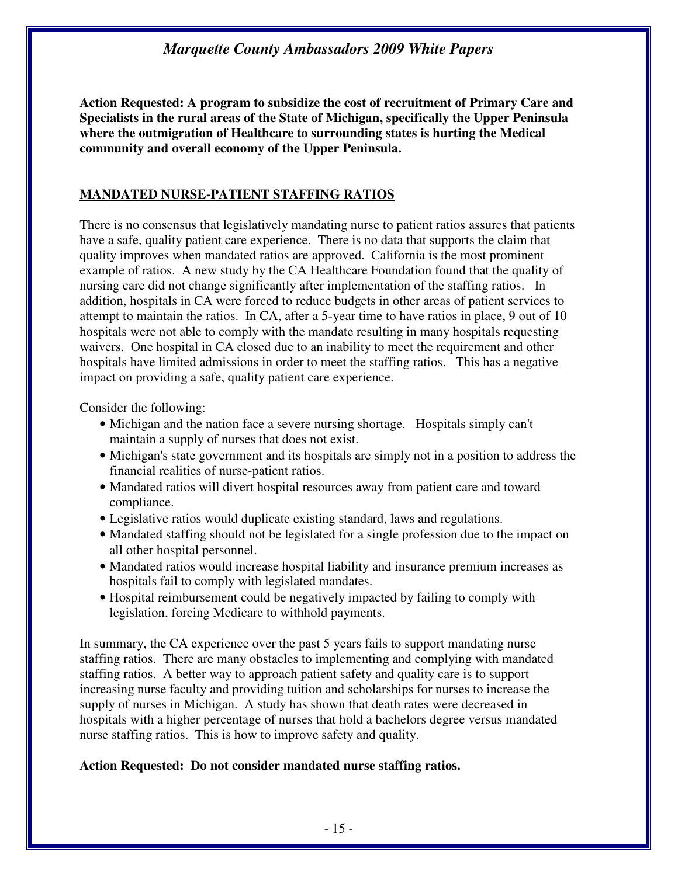**Action Requested: A program to subsidize the cost of recruitment of Primary Care and Specialists in the rural areas of the State of Michigan, specifically the Upper Peninsula where the outmigration of Healthcare to surrounding states is hurting the Medical community and overall economy of the Upper Peninsula.** 

#### **MANDATED NURSE-PATIENT STAFFING RATIOS**

There is no consensus that legislatively mandating nurse to patient ratios assures that patients have a safe, quality patient care experience. There is no data that supports the claim that quality improves when mandated ratios are approved. California is the most prominent example of ratios. A new study by the CA Healthcare Foundation found that the quality of nursing care did not change significantly after implementation of the staffing ratios. In addition, hospitals in CA were forced to reduce budgets in other areas of patient services to attempt to maintain the ratios. In CA, after a 5-year time to have ratios in place, 9 out of 10 hospitals were not able to comply with the mandate resulting in many hospitals requesting waivers. One hospital in CA closed due to an inability to meet the requirement and other hospitals have limited admissions in order to meet the staffing ratios. This has a negative impact on providing a safe, quality patient care experience.

Consider the following:

- Michigan and the nation face a severe nursing shortage. Hospitals simply can't maintain a supply of nurses that does not exist.
- Michigan's state government and its hospitals are simply not in a position to address the financial realities of nurse-patient ratios.
- Mandated ratios will divert hospital resources away from patient care and toward compliance.
- Legislative ratios would duplicate existing standard, laws and regulations.
- Mandated staffing should not be legislated for a single profession due to the impact on all other hospital personnel.
- Mandated ratios would increase hospital liability and insurance premium increases as hospitals fail to comply with legislated mandates.
- Hospital reimbursement could be negatively impacted by failing to comply with legislation, forcing Medicare to withhold payments.

In summary, the CA experience over the past 5 years fails to support mandating nurse staffing ratios. There are many obstacles to implementing and complying with mandated staffing ratios. A better way to approach patient safety and quality care is to support increasing nurse faculty and providing tuition and scholarships for nurses to increase the supply of nurses in Michigan. A study has shown that death rates were decreased in hospitals with a higher percentage of nurses that hold a bachelors degree versus mandated nurse staffing ratios. This is how to improve safety and quality.

#### **Action Requested: Do not consider mandated nurse staffing ratios.**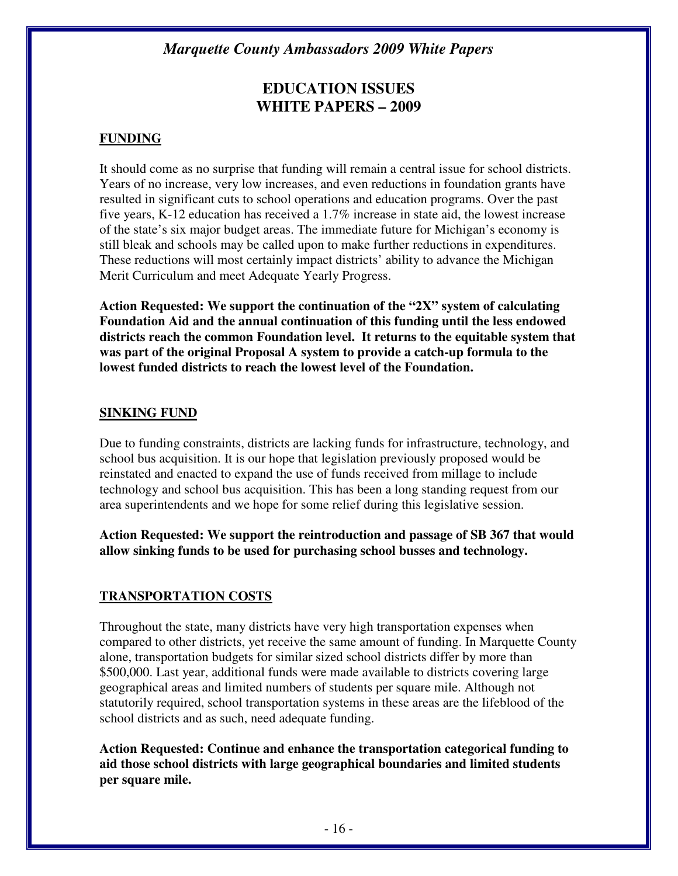## **EDUCATION ISSUES WHITE PAPERS – 2009**

#### **FUNDING**

It should come as no surprise that funding will remain a central issue for school districts. Years of no increase, very low increases, and even reductions in foundation grants have resulted in significant cuts to school operations and education programs. Over the past five years, K-12 education has received a 1.7% increase in state aid, the lowest increase of the state's six major budget areas. The immediate future for Michigan's economy is still bleak and schools may be called upon to make further reductions in expenditures. These reductions will most certainly impact districts' ability to advance the Michigan Merit Curriculum and meet Adequate Yearly Progress.

**Action Requested: We support the continuation of the "2X" system of calculating Foundation Aid and the annual continuation of this funding until the less endowed districts reach the common Foundation level. It returns to the equitable system that was part of the original Proposal A system to provide a catch-up formula to the lowest funded districts to reach the lowest level of the Foundation.** 

#### **SINKING FUND**

Due to funding constraints, districts are lacking funds for infrastructure, technology, and school bus acquisition. It is our hope that legislation previously proposed would be reinstated and enacted to expand the use of funds received from millage to include technology and school bus acquisition. This has been a long standing request from our area superintendents and we hope for some relief during this legislative session.

**Action Requested: We support the reintroduction and passage of SB 367 that would allow sinking funds to be used for purchasing school busses and technology.** 

#### **TRANSPORTATION COSTS**

Throughout the state, many districts have very high transportation expenses when compared to other districts, yet receive the same amount of funding. In Marquette County alone, transportation budgets for similar sized school districts differ by more than \$500,000. Last year, additional funds were made available to districts covering large geographical areas and limited numbers of students per square mile. Although not statutorily required, school transportation systems in these areas are the lifeblood of the school districts and as such, need adequate funding.

**Action Requested: Continue and enhance the transportation categorical funding to aid those school districts with large geographical boundaries and limited students per square mile.**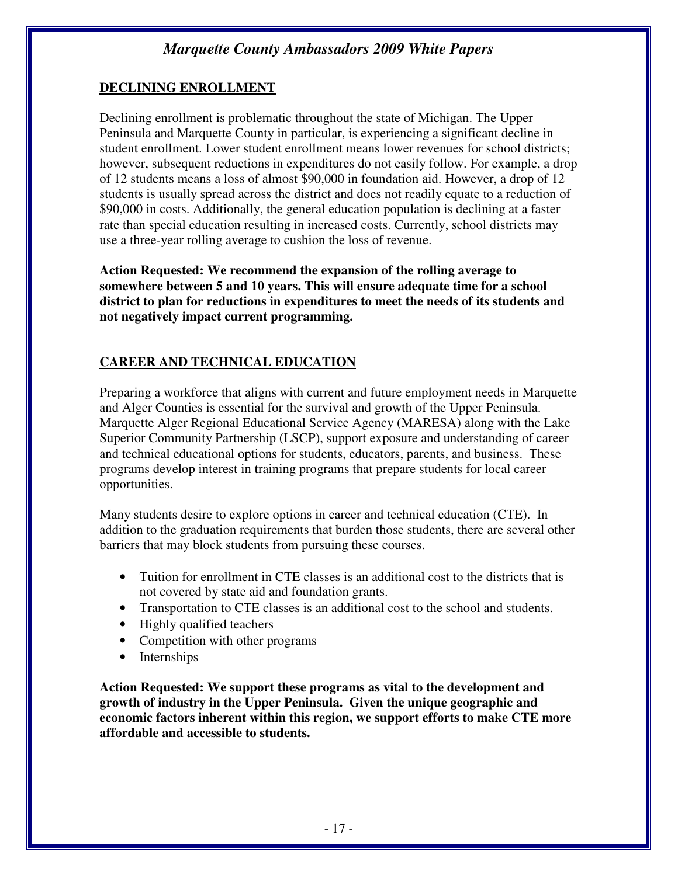### **DECLINING ENROLLMENT**

Declining enrollment is problematic throughout the state of Michigan. The Upper Peninsula and Marquette County in particular, is experiencing a significant decline in student enrollment. Lower student enrollment means lower revenues for school districts; however, subsequent reductions in expenditures do not easily follow. For example, a drop of 12 students means a loss of almost \$90,000 in foundation aid. However, a drop of 12 students is usually spread across the district and does not readily equate to a reduction of \$90,000 in costs. Additionally, the general education population is declining at a faster rate than special education resulting in increased costs. Currently, school districts may use a three-year rolling average to cushion the loss of revenue.

**Action Requested: We recommend the expansion of the rolling average to somewhere between 5 and 10 years. This will ensure adequate time for a school district to plan for reductions in expenditures to meet the needs of its students and not negatively impact current programming.** 

## **CAREER AND TECHNICAL EDUCATION**

Preparing a workforce that aligns with current and future employment needs in Marquette and Alger Counties is essential for the survival and growth of the Upper Peninsula. Marquette Alger Regional Educational Service Agency (MARESA) along with the Lake Superior Community Partnership (LSCP), support exposure and understanding of career and technical educational options for students, educators, parents, and business. These programs develop interest in training programs that prepare students for local career opportunities.

Many students desire to explore options in career and technical education (CTE). In addition to the graduation requirements that burden those students, there are several other barriers that may block students from pursuing these courses.

- Tuition for enrollment in CTE classes is an additional cost to the districts that is not covered by state aid and foundation grants.
- Transportation to CTE classes is an additional cost to the school and students.
- Highly qualified teachers
- Competition with other programs
- Internships

**Action Requested: We support these programs as vital to the development and growth of industry in the Upper Peninsula. Given the unique geographic and economic factors inherent within this region, we support efforts to make CTE more affordable and accessible to students.**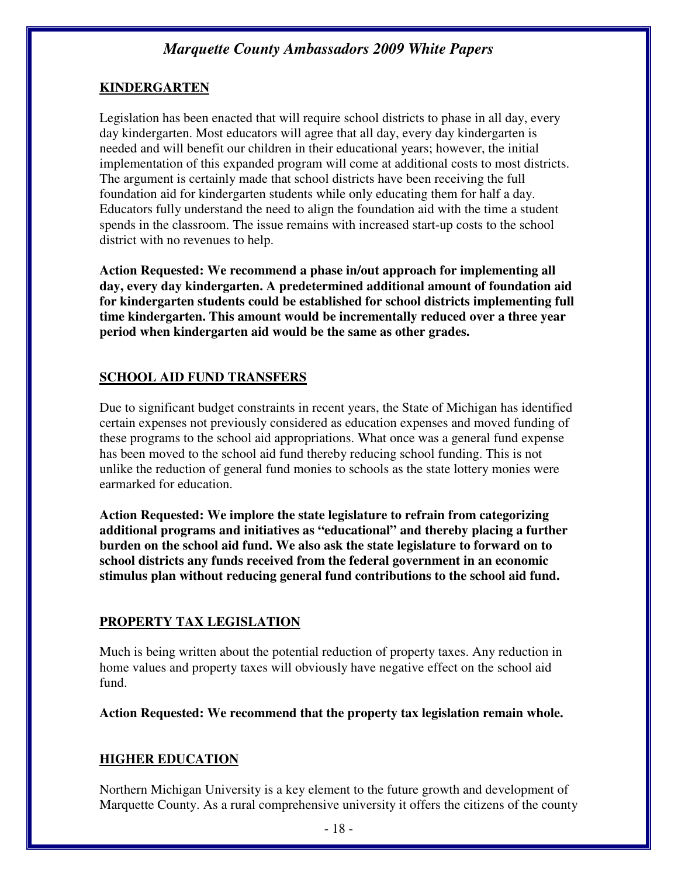#### **KINDERGARTEN**

Legislation has been enacted that will require school districts to phase in all day, every day kindergarten. Most educators will agree that all day, every day kindergarten is needed and will benefit our children in their educational years; however, the initial implementation of this expanded program will come at additional costs to most districts. The argument is certainly made that school districts have been receiving the full foundation aid for kindergarten students while only educating them for half a day. Educators fully understand the need to align the foundation aid with the time a student spends in the classroom. The issue remains with increased start-up costs to the school district with no revenues to help.

**Action Requested: We recommend a phase in/out approach for implementing all day, every day kindergarten. A predetermined additional amount of foundation aid for kindergarten students could be established for school districts implementing full time kindergarten. This amount would be incrementally reduced over a three year period when kindergarten aid would be the same as other grades.** 

#### **SCHOOL AID FUND TRANSFERS**

Due to significant budget constraints in recent years, the State of Michigan has identified certain expenses not previously considered as education expenses and moved funding of these programs to the school aid appropriations. What once was a general fund expense has been moved to the school aid fund thereby reducing school funding. This is not unlike the reduction of general fund monies to schools as the state lottery monies were earmarked for education.

**Action Requested: We implore the state legislature to refrain from categorizing additional programs and initiatives as "educational" and thereby placing a further burden on the school aid fund. We also ask the state legislature to forward on to school districts any funds received from the federal government in an economic stimulus plan without reducing general fund contributions to the school aid fund.** 

#### **PROPERTY TAX LEGISLATION**

Much is being written about the potential reduction of property taxes. Any reduction in home values and property taxes will obviously have negative effect on the school aid fund.

**Action Requested: We recommend that the property tax legislation remain whole.** 

#### **HIGHER EDUCATION**

Northern Michigan University is a key element to the future growth and development of Marquette County. As a rural comprehensive university it offers the citizens of the county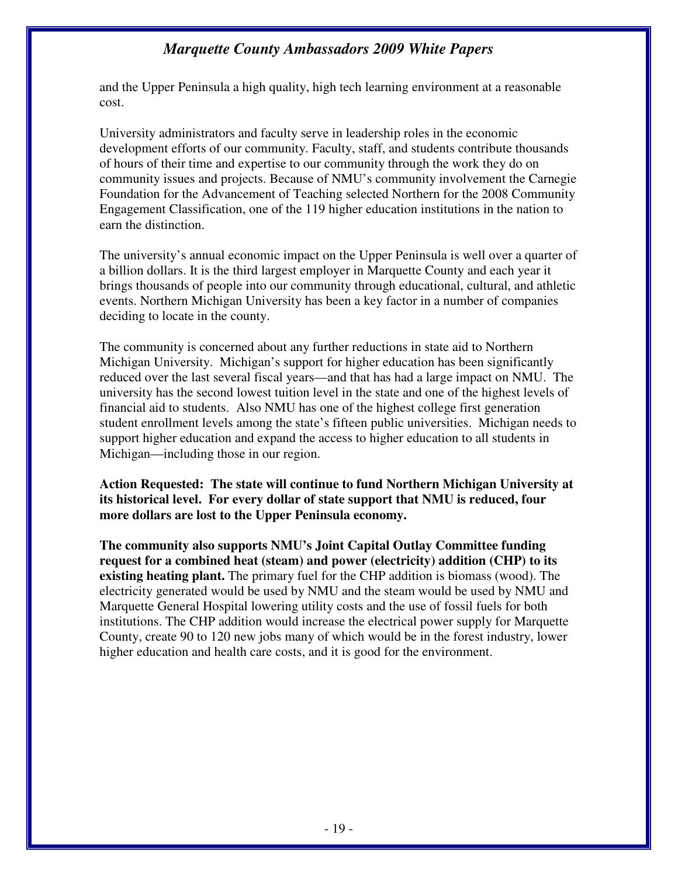and the Upper Peninsula a high quality, high tech learning environment at a reasonable cost.

University administrators and faculty serve in leadership roles in the economic development efforts of our community. Faculty, staff, and students contribute thousands of hours of their time and expertise to our community through the work they do on community issues and projects. Because of NMU's community involvement the Carnegie Foundation for the Advancement of Teaching selected Northern for the 2008 Community Engagement Classification, one of the 119 higher education institutions in the nation to earn the distinction.

The university's annual economic impact on the Upper Peninsula is well over a quarter of a billion dollars. It is the third largest employer in Marquette County and each year it brings thousands of people into our community through educational, cultural, and athletic events. Northern Michigan University has been a key factor in a number of companies deciding to locate in the county.

The community is concerned about any further reductions in state aid to Northern Michigan University. Michigan's support for higher education has been significantly reduced over the last several fiscal years—and that has had a large impact on NMU. The university has the second lowest tuition level in the state and one of the highest levels of financial aid to students. Also NMU has one of the highest college first generation student enrollment levels among the state's fifteen public universities. Michigan needs to support higher education and expand the access to higher education to all students in Michigan—including those in our region.

**Action Requested: The state will continue to fund Northern Michigan University at its historical level. For every dollar of state support that NMU is reduced, four more dollars are lost to the Upper Peninsula economy.**

**The community also supports NMU's Joint Capital Outlay Committee funding request for a combined heat (steam) and power (electricity) addition (CHP) to its existing heating plant.** The primary fuel for the CHP addition is biomass (wood). The electricity generated would be used by NMU and the steam would be used by NMU and Marquette General Hospital lowering utility costs and the use of fossil fuels for both institutions. The CHP addition would increase the electrical power supply for Marquette County, create 90 to 120 new jobs many of which would be in the forest industry, lower higher education and health care costs, and it is good for the environment.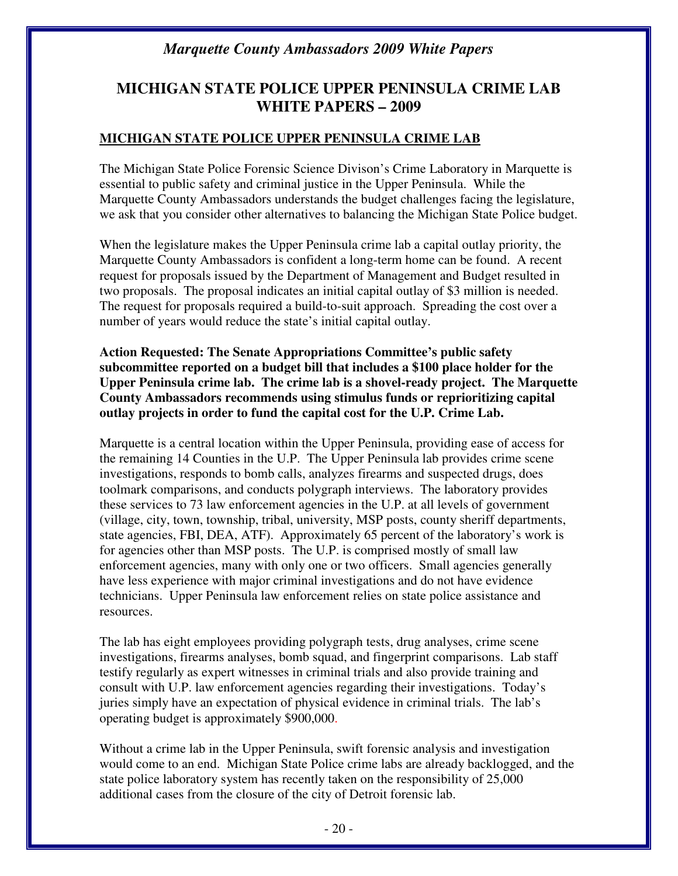## **MICHIGAN STATE POLICE UPPER PENINSULA CRIME LAB WHITE PAPERS – 2009**

#### **MICHIGAN STATE POLICE UPPER PENINSULA CRIME LAB**

The Michigan State Police Forensic Science Divison's Crime Laboratory in Marquette is essential to public safety and criminal justice in the Upper Peninsula. While the Marquette County Ambassadors understands the budget challenges facing the legislature, we ask that you consider other alternatives to balancing the Michigan State Police budget.

When the legislature makes the Upper Peninsula crime lab a capital outlay priority, the Marquette County Ambassadors is confident a long-term home can be found. A recent request for proposals issued by the Department of Management and Budget resulted in two proposals. The proposal indicates an initial capital outlay of \$3 million is needed. The request for proposals required a build-to-suit approach. Spreading the cost over a number of years would reduce the state's initial capital outlay.

**Action Requested: The Senate Appropriations Committee's public safety subcommittee reported on a budget bill that includes a \$100 place holder for the Upper Peninsula crime lab. The crime lab is a shovel-ready project. The Marquette County Ambassadors recommends using stimulus funds or reprioritizing capital outlay projects in order to fund the capital cost for the U.P. Crime Lab.** 

Marquette is a central location within the Upper Peninsula, providing ease of access for the remaining 14 Counties in the U.P. The Upper Peninsula lab provides crime scene investigations, responds to bomb calls, analyzes firearms and suspected drugs, does toolmark comparisons, and conducts polygraph interviews. The laboratory provides these services to 73 law enforcement agencies in the U.P. at all levels of government (village, city, town, township, tribal, university, MSP posts, county sheriff departments, state agencies, FBI, DEA, ATF). Approximately 65 percent of the laboratory's work is for agencies other than MSP posts. The U.P. is comprised mostly of small law enforcement agencies, many with only one or two officers. Small agencies generally have less experience with major criminal investigations and do not have evidence technicians. Upper Peninsula law enforcement relies on state police assistance and resources.

The lab has eight employees providing polygraph tests, drug analyses, crime scene investigations, firearms analyses, bomb squad, and fingerprint comparisons. Lab staff testify regularly as expert witnesses in criminal trials and also provide training and consult with U.P. law enforcement agencies regarding their investigations. Today's juries simply have an expectation of physical evidence in criminal trials. The lab's operating budget is approximately \$900,000.

Without a crime lab in the Upper Peninsula, swift forensic analysis and investigation would come to an end. Michigan State Police crime labs are already backlogged, and the state police laboratory system has recently taken on the responsibility of 25,000 additional cases from the closure of the city of Detroit forensic lab.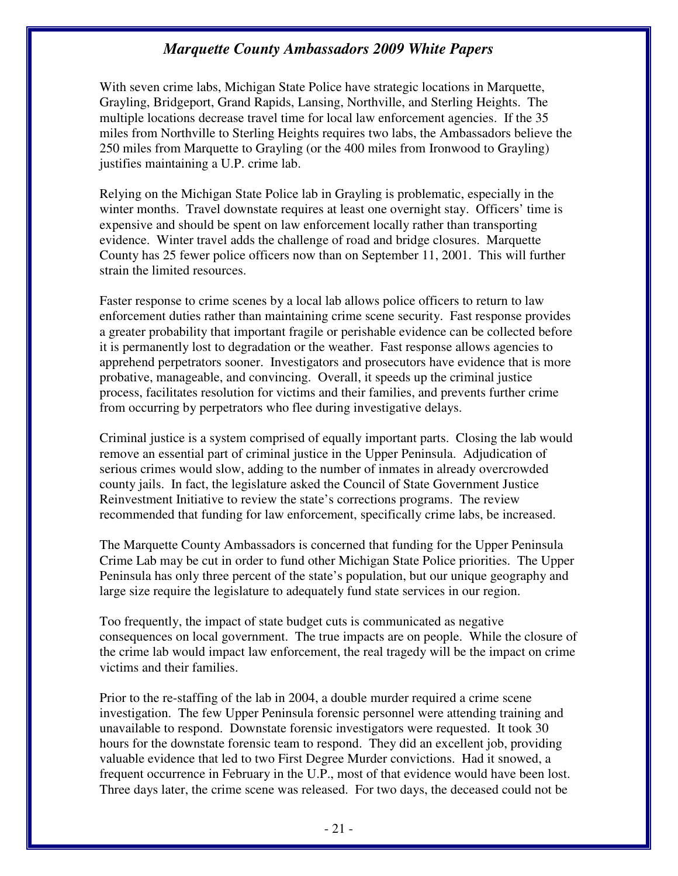With seven crime labs, Michigan State Police have strategic locations in Marquette, Grayling, Bridgeport, Grand Rapids, Lansing, Northville, and Sterling Heights. The multiple locations decrease travel time for local law enforcement agencies. If the 35 miles from Northville to Sterling Heights requires two labs, the Ambassadors believe the 250 miles from Marquette to Grayling (or the 400 miles from Ironwood to Grayling) justifies maintaining a U.P. crime lab.

Relying on the Michigan State Police lab in Grayling is problematic, especially in the winter months. Travel downstate requires at least one overnight stay. Officers' time is expensive and should be spent on law enforcement locally rather than transporting evidence. Winter travel adds the challenge of road and bridge closures. Marquette County has 25 fewer police officers now than on September 11, 2001. This will further strain the limited resources.

Faster response to crime scenes by a local lab allows police officers to return to law enforcement duties rather than maintaining crime scene security. Fast response provides a greater probability that important fragile or perishable evidence can be collected before it is permanently lost to degradation or the weather. Fast response allows agencies to apprehend perpetrators sooner. Investigators and prosecutors have evidence that is more probative, manageable, and convincing. Overall, it speeds up the criminal justice process, facilitates resolution for victims and their families, and prevents further crime from occurring by perpetrators who flee during investigative delays.

Criminal justice is a system comprised of equally important parts. Closing the lab would remove an essential part of criminal justice in the Upper Peninsula. Adjudication of serious crimes would slow, adding to the number of inmates in already overcrowded county jails. In fact, the legislature asked the Council of State Government Justice Reinvestment Initiative to review the state's corrections programs. The review recommended that funding for law enforcement, specifically crime labs, be increased.

The Marquette County Ambassadors is concerned that funding for the Upper Peninsula Crime Lab may be cut in order to fund other Michigan State Police priorities. The Upper Peninsula has only three percent of the state's population, but our unique geography and large size require the legislature to adequately fund state services in our region.

Too frequently, the impact of state budget cuts is communicated as negative consequences on local government. The true impacts are on people. While the closure of the crime lab would impact law enforcement, the real tragedy will be the impact on crime victims and their families.

Prior to the re-staffing of the lab in 2004, a double murder required a crime scene investigation. The few Upper Peninsula forensic personnel were attending training and unavailable to respond. Downstate forensic investigators were requested. It took 30 hours for the downstate forensic team to respond. They did an excellent job, providing valuable evidence that led to two First Degree Murder convictions. Had it snowed, a frequent occurrence in February in the U.P., most of that evidence would have been lost. Three days later, the crime scene was released. For two days, the deceased could not be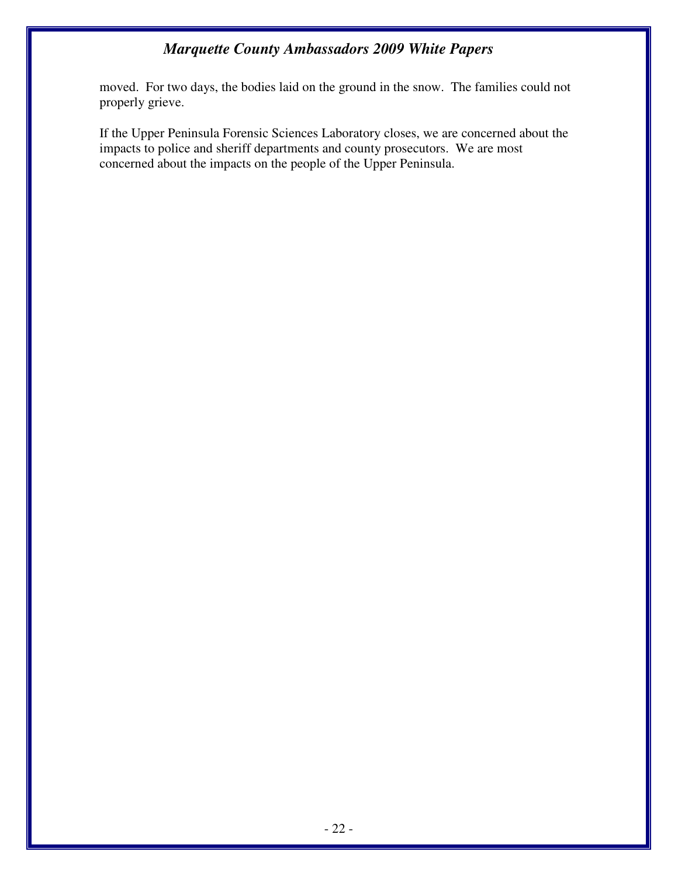moved. For two days, the bodies laid on the ground in the snow. The families could not properly grieve.

If the Upper Peninsula Forensic Sciences Laboratory closes, we are concerned about the impacts to police and sheriff departments and county prosecutors. We are most concerned about the impacts on the people of the Upper Peninsula.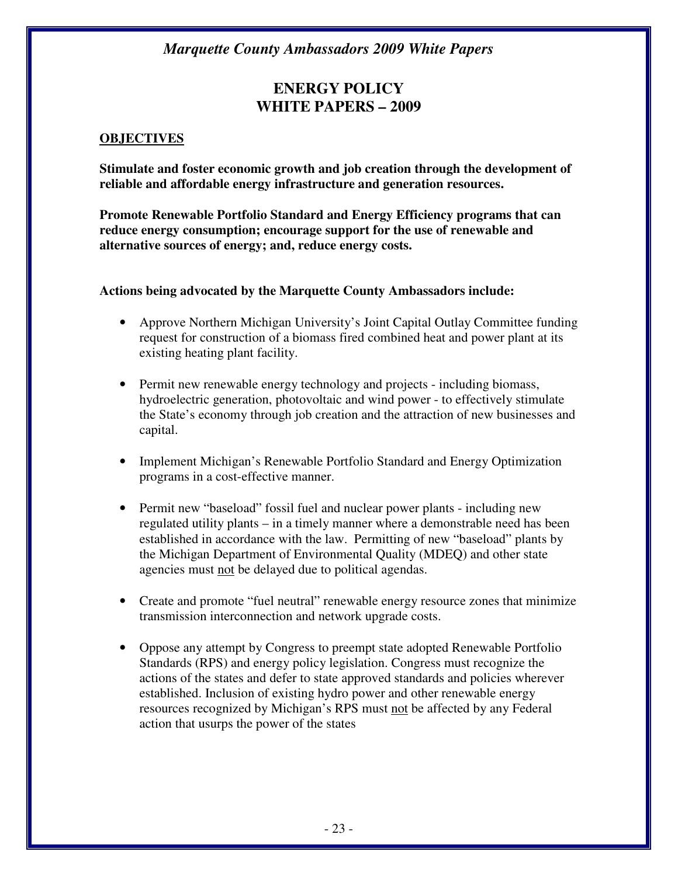## **ENERGY POLICY WHITE PAPERS – 2009**

#### **OBJECTIVES**

**Stimulate and foster economic growth and job creation through the development of reliable and affordable energy infrastructure and generation resources.** 

**Promote Renewable Portfolio Standard and Energy Efficiency programs that can reduce energy consumption; encourage support for the use of renewable and alternative sources of energy; and, reduce energy costs.** 

#### **Actions being advocated by the Marquette County Ambassadors include:**

- Approve Northern Michigan University's Joint Capital Outlay Committee funding request for construction of a biomass fired combined heat and power plant at its existing heating plant facility.
- Permit new renewable energy technology and projects including biomass, hydroelectric generation, photovoltaic and wind power - to effectively stimulate the State's economy through job creation and the attraction of new businesses and capital.
- Implement Michigan's Renewable Portfolio Standard and Energy Optimization programs in a cost-effective manner.
- Permit new "baseload" fossil fuel and nuclear power plants including new regulated utility plants – in a timely manner where a demonstrable need has been established in accordance with the law. Permitting of new "baseload" plants by the Michigan Department of Environmental Quality (MDEQ) and other state agencies must not be delayed due to political agendas.
- Create and promote "fuel neutral" renewable energy resource zones that minimize transmission interconnection and network upgrade costs.
- Oppose any attempt by Congress to preempt state adopted Renewable Portfolio Standards (RPS) and energy policy legislation. Congress must recognize the actions of the states and defer to state approved standards and policies wherever established. Inclusion of existing hydro power and other renewable energy resources recognized by Michigan's RPS must not be affected by any Federal action that usurps the power of the states